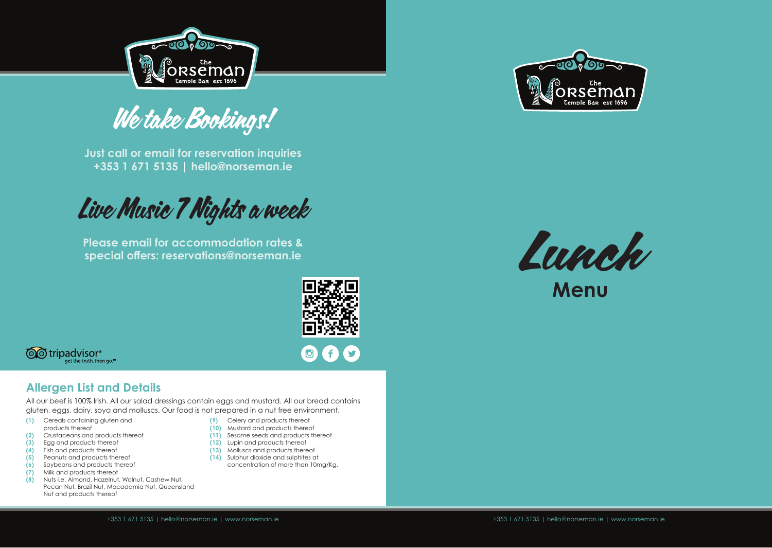

We take Bookings!

**Just call or email for reservation inquiries +353 1 671 5135 | hello@norseman.ie**

Live Music 7 Nights a week

**Please email for accommodation rates & special offers: reservations@norseman.ie**



f.



#### **Allergen List and Details**

All our beef is 100% Irish. All our salad dressings contain eggs and mustard. All our bread contains gluten, eggs, dairy, soya and molluscs. Our food is not prepared in a nut free environment.

- **(1)** Cereals containing gluten and products thereof
- **(2)** Crustaceans and products thereof
- **(3)** Egg and products thereof
- **(4)** Fish and products thereof
- **(5)** Peanuts and products thereof
- **(6)** Soybeans and products thereof
- **(7)** Milk and products thereof
- **(8)** Nuts i.e. Almond, Hazelnut, Walnut, Cashew Nut, Pecan Nut, Brazil Nut, Macadamia Nut, Queensland Nut and products thereof
- **(9)** Celery and products thereof
- 
- 
- 
- 
- concentration of more than 10mg/Kg.





**Menu**

- **(10)** Mustard and products thereof **(11)** Sesame seeds and products thereof
- **(12)** Lupin and products thereof
- **(13)** Molluscs and products thereof
- **(14)** Sulphur dioxide and sulphites at
-